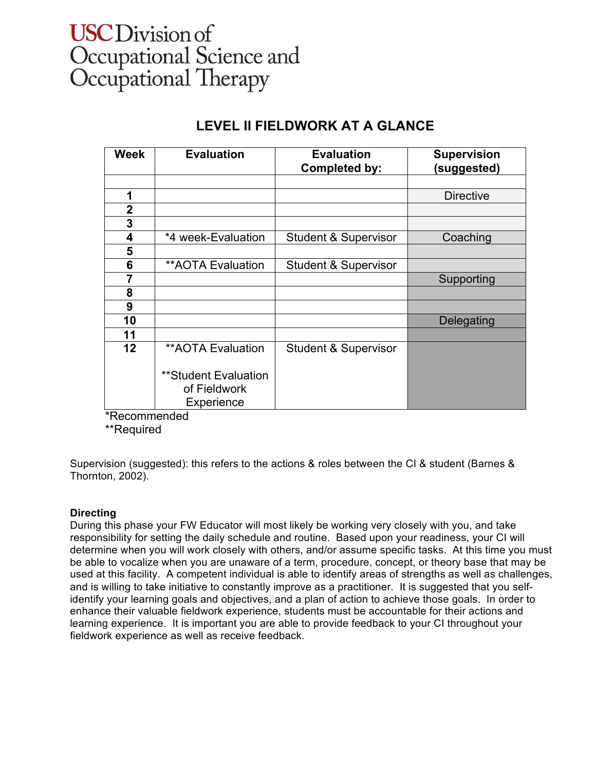# **USC** Division of Occupational Science and<br>Occupational Therapy

## **LEVEL II FIELDWORK AT A GLANCE**

| <b>Week</b> | <b>Evaluation</b>        | <b>Evaluation</b><br><b>Completed by:</b> | <b>Supervision</b><br>(suggested) |
|-------------|--------------------------|-------------------------------------------|-----------------------------------|
|             |                          |                                           |                                   |
| 1           |                          |                                           | <b>Directive</b>                  |
| $\mathbf 2$ |                          |                                           |                                   |
| 3           |                          |                                           |                                   |
| 4           | *4 week-Evaluation       | <b>Student &amp; Supervisor</b>           | Coaching                          |
| 5           |                          |                                           |                                   |
| 6           | <b>**AOTA Evaluation</b> | <b>Student &amp; Supervisor</b>           |                                   |
| 7           |                          |                                           | Supporting                        |
| 8           |                          |                                           |                                   |
| 9           |                          |                                           |                                   |
| 10          |                          |                                           | Delegating                        |
| 11          |                          |                                           |                                   |
| 12          | <b>**AOTA Evaluation</b> | <b>Student &amp; Supervisor</b>           |                                   |
|             |                          |                                           |                                   |
|             | **Student Evaluation     |                                           |                                   |
|             | of Fieldwork             |                                           |                                   |
|             | Experience               |                                           |                                   |

\*Recommended

\*\*Required

Supervision (suggested): this refers to the actions & roles between the CI & student (Barnes & Thornton, 2002).

### **Directing**

During this phase your FW Educator will most likely be working very closely with you, and take responsibility for setting the daily schedule and routine. Based upon your readiness, your CI will determine when you will work closely with others, and/or assume specific tasks. At this time you must be able to vocalize when you are unaware of a term, procedure, concept, or theory base that may be used at this facility. A competent individual is able to identify areas of strengths as well as challenges, and is willing to take initiative to constantly improve as a practitioner. It is suggested that you selfidentify your learning goals and objectives, and a plan of action to achieve those goals. In order to enhance their valuable fieldwork experience, students must be accountable for their actions and learning experience. It is important you are able to provide feedback to your CI throughout your fieldwork experience as well as receive feedback.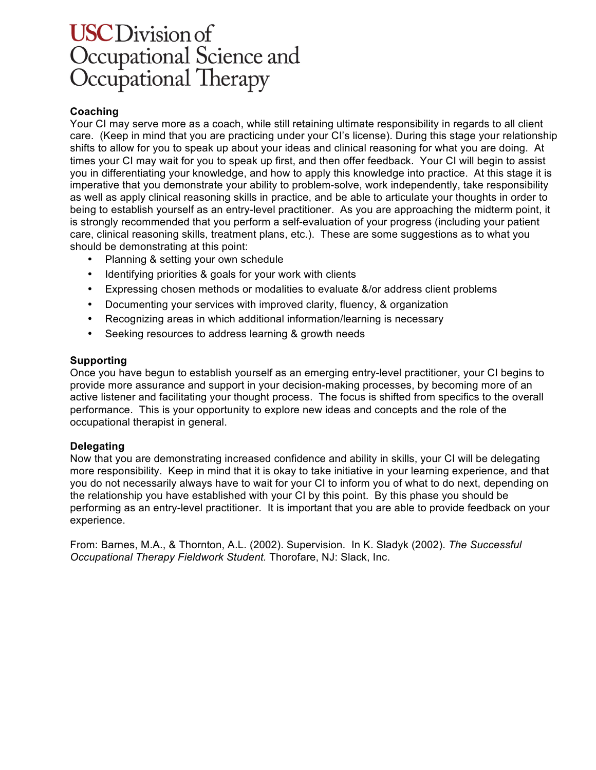# **USC** Division of Occupational Science and<br>Occupational Therapy

### **Coaching**

Your CI may serve more as a coach, while still retaining ultimate responsibility in regards to all client care. (Keep in mind that you are practicing under your CI's license). During this stage your relationship shifts to allow for you to speak up about your ideas and clinical reasoning for what you are doing. At times your CI may wait for you to speak up first, and then offer feedback. Your CI will begin to assist you in differentiating your knowledge, and how to apply this knowledge into practice. At this stage it is imperative that you demonstrate your ability to problem-solve, work independently, take responsibility as well as apply clinical reasoning skills in practice, and be able to articulate your thoughts in order to being to establish yourself as an entry-level practitioner. As you are approaching the midterm point, it is strongly recommended that you perform a self-evaluation of your progress (including your patient care, clinical reasoning skills, treatment plans, etc.). These are some suggestions as to what you should be demonstrating at this point:

- Planning & setting your own schedule
- Identifying priorities & goals for your work with clients
- Expressing chosen methods or modalities to evaluate &/or address client problems
- Documenting your services with improved clarity, fluency, & organization
- Recognizing areas in which additional information/learning is necessary
- Seeking resources to address learning & growth needs

#### **Supporting**

Once you have begun to establish yourself as an emerging entry-level practitioner, your CI begins to provide more assurance and support in your decision-making processes, by becoming more of an active listener and facilitating your thought process. The focus is shifted from specifics to the overall performance. This is your opportunity to explore new ideas and concepts and the role of the occupational therapist in general.

#### **Delegating**

Now that you are demonstrating increased confidence and ability in skills, your CI will be delegating more responsibility. Keep in mind that it is okay to take initiative in your learning experience, and that you do not necessarily always have to wait for your CI to inform you of what to do next, depending on the relationship you have established with your CI by this point. By this phase you should be performing as an entry-level practitioner. It is important that you are able to provide feedback on your experience.

From: Barnes, M.A., & Thornton, A.L. (2002). Supervision. In K. Sladyk (2002). *The Successful Occupational Therapy Fieldwork Student.* Thorofare, NJ: Slack, Inc.